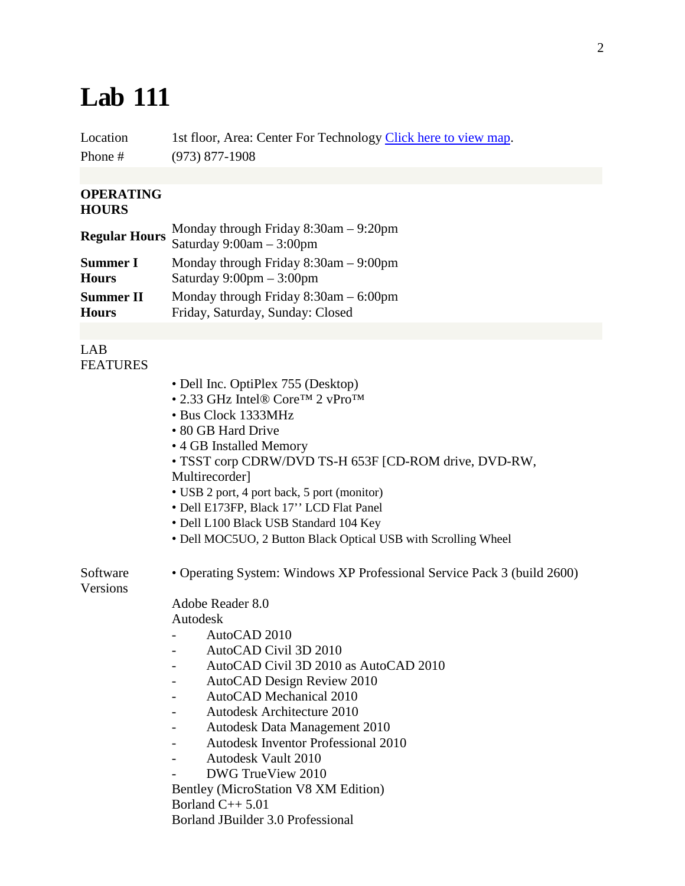## **Lab 111**

Location 1st floor, Area: Center For Technology [Click here to view map.](http://faculty.essex.edu/it/images/lab_1floor.jpg) Phone # (973) 877-1908

## **OPERATING HOURS**

| <b>Regular Hours</b> | Monday through Friday $8:30$ am $-9:20$ pm<br>Saturday $9:00am - 3:00pm$ |
|----------------------|--------------------------------------------------------------------------|
| <b>Summer I</b>      | Monday through Friday $8:30$ am $-9:00$ pm                               |
| <b>Hours</b>         | Saturday $9:00 \text{pm} - 3:00 \text{pm}$                               |
| <b>Summer II</b>     | Monday through Friday $8:30$ am $-6:00$ pm                               |
| <b>Hours</b>         | Friday, Saturday, Sunday: Closed                                         |

LAB FEATURES

Software Versions

| • Dell Inc. OptiPlex 755 (Desktop)                                      |
|-------------------------------------------------------------------------|
| • 2.33 GHz Intel® Core <sup>TM</sup> 2 vPro <sup>TM</sup>               |
| • Bus Clock 1333MHz                                                     |
| • 80 GB Hard Drive                                                      |
| • 4 GB Installed Memory                                                 |
| • TSST corp CDRW/DVD TS-H 653F [CD-ROM drive, DVD-RW,                   |
| Multirecorder]                                                          |
| • USB 2 port, 4 port back, 5 port (monitor)                             |
| • Dell E173FP, Black 17" LCD Flat Panel                                 |
| · Dell L100 Black USB Standard 104 Key                                  |
| • Dell MOC5UO, 2 Button Black Optical USB with Scrolling Wheel          |
|                                                                         |
| • Operating System: Windows XP Professional Service Pack 3 (build 2600) |
| Adobe Reader 8.0                                                        |
| Autodesk                                                                |
| AutoCAD 2010                                                            |
| AutoCAD Civil 3D 2010                                                   |
| AutoCAD Civil 3D 2010 as AutoCAD 2010                                   |
| AutoCAD Design Review 2010                                              |
| AutoCAD Mechanical 2010                                                 |
| <b>Autodesk Architecture 2010</b>                                       |
| Autodesk Data Management 2010                                           |
| <b>Autodesk Inventor Professional 2010</b>                              |
| <b>Autodesk Vault 2010</b>                                              |
| DWG TrueView 2010                                                       |
| Bentley (MicroStation V8 XM Edition)                                    |
| Borland $C_{++}$ 5.01                                                   |
| Borland JBuilder 3.0 Professional                                       |
|                                                                         |
|                                                                         |